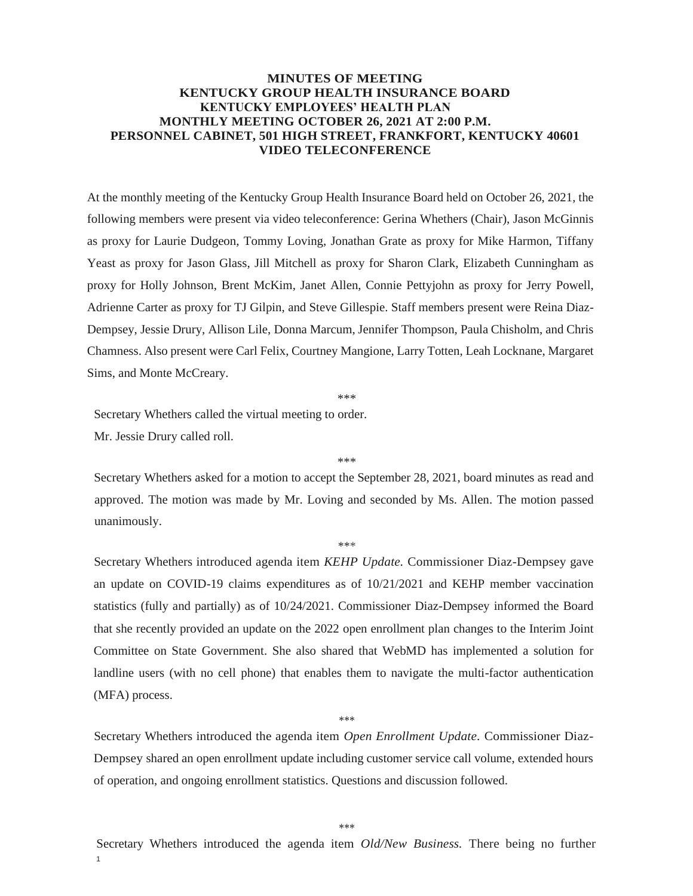## **MINUTES OF MEETING KENTUCKY GROUP HEALTH INSURANCE BOARD KENTUCKY EMPLOYEES' HEALTH PLAN MONTHLY MEETING OCTOBER 26, 2021 AT 2:00 P.M. PERSONNEL CABINET, 501 HIGH STREET, FRANKFORT, KENTUCKY 40601 VIDEO TELECONFERENCE**

At the monthly meeting of the Kentucky Group Health Insurance Board held on October 26, 2021, the following members were present via video teleconference: Gerina Whethers (Chair), Jason McGinnis as proxy for Laurie Dudgeon, Tommy Loving, Jonathan Grate as proxy for Mike Harmon, Tiffany Yeast as proxy for Jason Glass, Jill Mitchell as proxy for Sharon Clark, Elizabeth Cunningham as proxy for Holly Johnson, Brent McKim, Janet Allen, Connie Pettyjohn as proxy for Jerry Powell, Adrienne Carter as proxy for TJ Gilpin, and Steve Gillespie. Staff members present were Reina Diaz-Dempsey, Jessie Drury, Allison Lile, Donna Marcum, Jennifer Thompson, Paula Chisholm, and Chris Chamness. Also present were Carl Felix, Courtney Mangione, Larry Totten, Leah Locknane, Margaret Sims, and Monte McCreary.

\*\*\*

Secretary Whethers called the virtual meeting to order.

Mr. Jessie Drury called roll.

Secretary Whethers asked for a motion to accept the September 28, 2021, board minutes as read and approved. The motion was made by Mr. Loving and seconded by Ms. Allen. The motion passed unanimously.

\*\*\*

\*\*\*

Secretary Whethers introduced agenda item *KEHP Update.* Commissioner Diaz-Dempsey gave an update on COVID-19 claims expenditures as of 10/21/2021 and KEHP member vaccination statistics (fully and partially) as of 10/24/2021. Commissioner Diaz-Dempsey informed the Board that she recently provided an update on the 2022 open enrollment plan changes to the Interim Joint Committee on State Government. She also shared that WebMD has implemented a solution for landline users (with no cell phone) that enables them to navigate the multi-factor authentication (MFA) process.

\*\*\*

Secretary Whethers introduced the agenda item *Open Enrollment Update.* Commissioner Diaz-Dempsey shared an open enrollment update including customer service call volume, extended hours of operation, and ongoing enrollment statistics. Questions and discussion followed.

\*\*\*

1 Secretary Whethers introduced the agenda item *Old/New Business.* There being no further